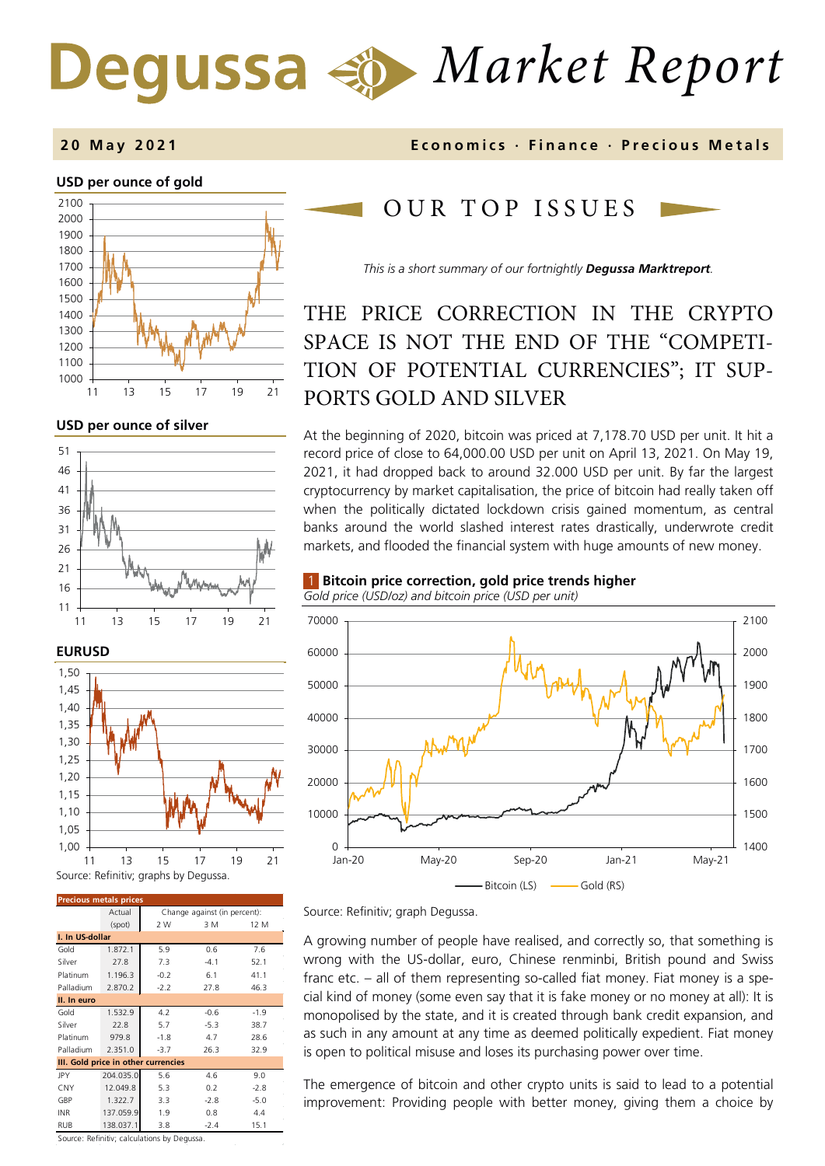# *Market Report*

### **2 0 May 202 1 Economics · Finance · Precious M etals**

### **USD per ounce of gold**



### **USD per ounce of silver**





| <b>Precious metals prices</b>       |           |                              |        |        |  |
|-------------------------------------|-----------|------------------------------|--------|--------|--|
|                                     | Actual    | Change against (in percent): |        |        |  |
|                                     | (spot)    | 2 W                          | 3 M    | 12 M   |  |
| I. In US-dollar                     |           |                              |        |        |  |
| Gold                                | 1.872.1   | 5.9                          | 0.6    | 7.6    |  |
| Silver                              | 27.8      | 7.3                          | $-4.1$ | 52.1   |  |
| Platinum                            | 1.196.3   | $-0.2$                       | 6.1    | 41.1   |  |
| Palladium                           | 2.870.2   | $-2.2$                       | 27.8   | 46.3   |  |
| II. In euro                         |           |                              |        |        |  |
| Gold                                | 1.532.9   | 4.2                          | $-0.6$ | $-1.9$ |  |
| Silver                              | 22.8      | 5.7                          | $-5.3$ | 38.7   |  |
| Platinum                            | 979.8     | $-1.8$                       | 4.7    | 28.6   |  |
| Palladium                           | 2.351.0   | $-3.7$                       | 26.3   | 32.9   |  |
| III. Gold price in other currencies |           |                              |        |        |  |
| JPY                                 | 204.035.0 | 5.6                          | 4.6    | 9.0    |  |
| CNY                                 | 12.049.8  | 5.3                          | 0.2    | $-2.8$ |  |
| GBP                                 | 1.322.7   | 3.3                          | $-2.8$ | $-5.0$ |  |
| <b>INR</b>                          | 137.059.9 | 1.9                          | 0.8    | 4.4    |  |
| <b>RUB</b>                          | 138.037.1 | 3.8                          | $-2.4$ | 15.1   |  |

OUR TOP ISSUE S

*This is a short summary of our fortnightly Degussa Marktreport.*

### THE PRICE CORRECTION IN THE CRYPTO SPACE IS NOT THE END OF THE "COMPETI-TION OF POTENTIAL CURRENCIES"; IT SUP-PORTS GOLD AND SILVER

At the beginning of 2020, bitcoin was priced at 7,178.70 USD per unit. It hit a record price of close to 64,000.00 USD per unit on April 13, 2021. On May 19, 2021, it had dropped back to around 32.000 USD per unit. By far the largest cryptocurrency by market capitalisation, the price of bitcoin had really taken off when the politically dictated lockdown crisis gained momentum, as central banks around the world slashed interest rates drastically, underwrote credit markets, and flooded the financial system with huge amounts of new money.

### 1 **Bitcoin price correction, gold price trends higher**



*Gold price (USD/oz) and bitcoin price (USD per unit)* 

Source: Refinitiv; graph Degussa.

A growing number of people have realised, and correctly so, that something is wrong with the US-dollar, euro, Chinese renminbi, British pound and Swiss franc etc. – all of them representing so-called fiat money. Fiat money is a special kind of money (some even say that it is fake money or no money at all): It is monopolised by the state, and it is created through bank credit expansion, and as such in any amount at any time as deemed politically expedient. Fiat money is open to political misuse and loses its purchasing power over time.

The emergence of bitcoin and other crypto units is said to lead to a potential improvement: Providing people with better money, giving them a choice by

Source: Refinitiv; calculations by Degussa.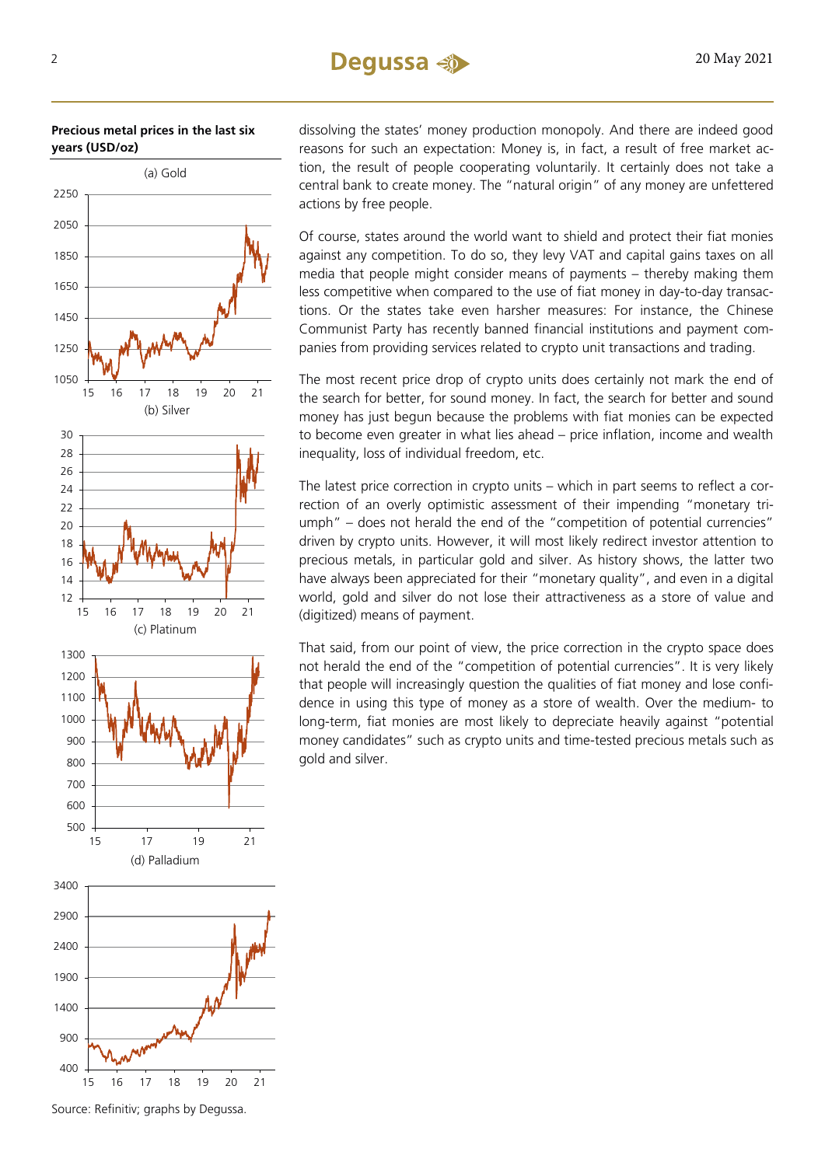**Precious metal prices in the last six years (USD/oz)** 



dissolving the states' money production monopoly. And there are indeed good reasons for such an expectation: Money is, in fact, a result of free market action, the result of people cooperating voluntarily. It certainly does not take a central bank to create money. The "natural origin" of any money are unfettered actions by free people.

Of course, states around the world want to shield and protect their fiat monies against any competition. To do so, they levy VAT and capital gains taxes on all media that people might consider means of payments – thereby making them less competitive when compared to the use of fiat money in day-to-day transactions. Or the states take even harsher measures: For instance, the Chinese Communist Party has recently banned financial institutions and payment companies from providing services related to crypto unit transactions and trading.

The most recent price drop of crypto units does certainly not mark the end of the search for better, for sound money. In fact, the search for better and sound money has just begun because the problems with fiat monies can be expected to become even greater in what lies ahead – price inflation, income and wealth inequality, loss of individual freedom, etc.

The latest price correction in crypto units – which in part seems to reflect a correction of an overly optimistic assessment of their impending "monetary triumph" – does not herald the end of the "competition of potential currencies" driven by crypto units. However, it will most likely redirect investor attention to precious metals, in particular gold and silver. As history shows, the latter two have always been appreciated for their "monetary quality", and even in a digital world, gold and silver do not lose their attractiveness as a store of value and (digitized) means of payment.

That said, from our point of view, the price correction in the crypto space does not herald the end of the "competition of potential currencies". It is very likely that people will increasingly question the qualities of fiat money and lose confidence in using this type of money as a store of wealth. Over the medium- to long-term, fiat monies are most likely to depreciate heavily against "potential money candidates" such as crypto units and time-tested precious metals such as gold and silver.

Source: Refinitiv; graphs by Degussa.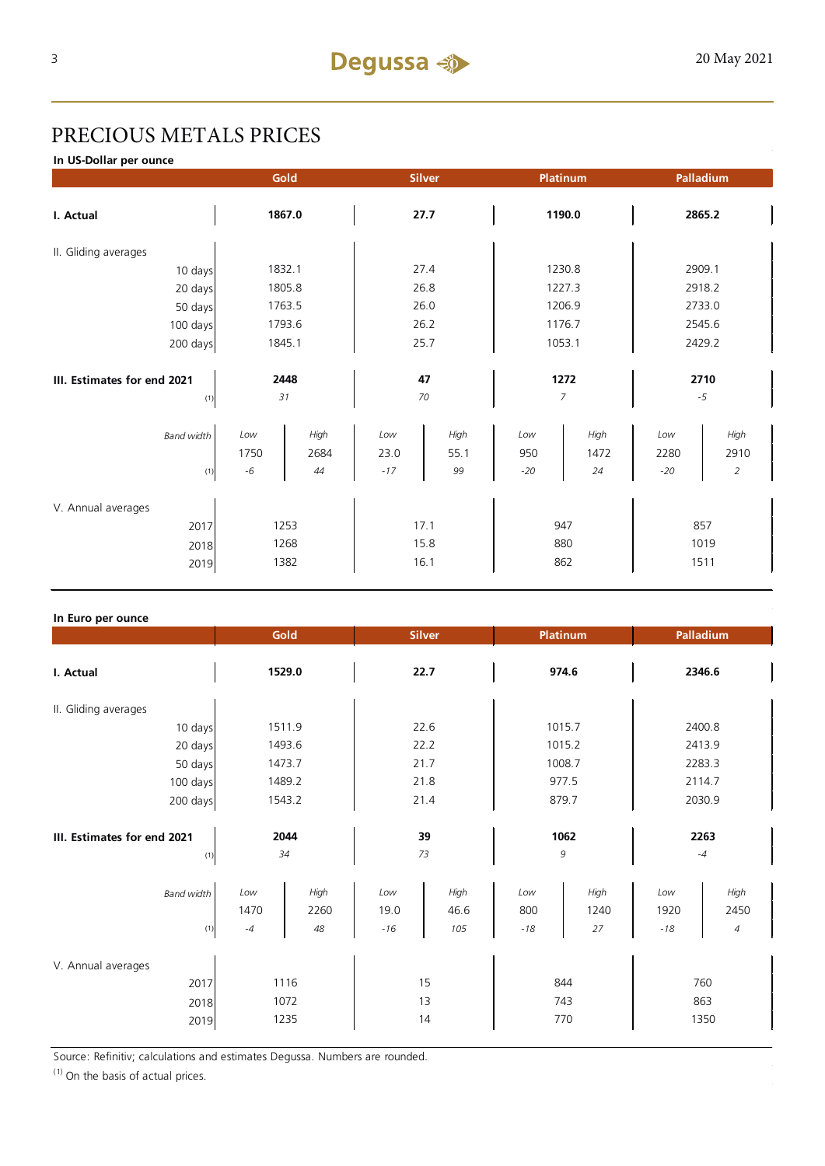## PRECIOUS METALS PRICES

**In US-Dollar per ounce**

|                             |              | Gold       | <b>Silver</b> |            | Platinum     |            | Palladium     |                        |
|-----------------------------|--------------|------------|---------------|------------|--------------|------------|---------------|------------------------|
| I. Actual                   | 1867.0       |            | 27.7          |            | 1190.0       |            | 2865.2        |                        |
| II. Gliding averages        |              |            |               |            |              |            |               |                        |
| 10 days                     | 1832.1       |            | 27.4          |            | 1230.8       |            | 2909.1        |                        |
| 20 days                     | 1805.8       |            | 26.8          |            | 1227.3       |            | 2918.2        |                        |
| 50 days                     | 1763.5       |            | 26.0          |            | 1206.9       |            | 2733.0        |                        |
| 100 days                    | 1793.6       |            | 26.2          |            | 1176.7       |            | 2545.6        |                        |
| 200 days                    | 1845.1       |            | 25.7          |            | 1053.1       |            | 2429.2        |                        |
| III. Estimates for end 2021 | 2448         |            | 47            |            | 1272         |            | 2710          |                        |
| (1)                         |              | 31         |               | 70         |              | 7          |               | $-5$                   |
| <b>Band width</b>           | Low          | High       | Low           | High       | Low          | High       | Low           | High                   |
| (1)                         | 1750<br>$-6$ | 2684<br>44 | 23.0<br>$-17$ | 55.1<br>99 | 950<br>$-20$ | 1472<br>24 | 2280<br>$-20$ | 2910<br>$\overline{2}$ |
| V. Annual averages          |              |            |               |            |              |            |               |                        |
| 2017                        | 1253         |            | 17.1          |            | 947          |            | 857           |                        |
| 2018                        | 1268         |            | 15.8          |            | 880          |            | 1019          |                        |
| 2019                        | 1382         |            | 16.1          |            | 862          |            | 1511          |                        |

### **In Euro per ounce**

|                                            | Gold                                      | <b>Silver</b>                               | <b>Platinum</b>                           | Palladium                                 |  |
|--------------------------------------------|-------------------------------------------|---------------------------------------------|-------------------------------------------|-------------------------------------------|--|
| 1529.0<br>I. Actual                        |                                           | 22.7                                        | 974.6                                     | 2346.6                                    |  |
| II. Gliding averages                       |                                           |                                             |                                           |                                           |  |
| 10 days                                    | 1511.9                                    | 22.6                                        | 1015.7                                    | 2400.8                                    |  |
| 20 days                                    | 1493.6                                    | 22.2                                        | 1015.2                                    | 2413.9                                    |  |
| 50 days                                    | 1473.7                                    | 21.7                                        | 1008.7                                    | 2283.3                                    |  |
| 100 days                                   | 1489.2                                    | 21.8                                        | 977.5                                     | 2114.7                                    |  |
| 200 days                                   | 1543.2                                    | 21.4                                        | 879.7                                     | 2030.9                                    |  |
| III. Estimates for end 2021<br>(1)         | 2044<br>34                                |                                             | 1062<br>9                                 | 2263<br>$-4$                              |  |
| <b>Band width</b><br>(1)                   | High<br>Low<br>1470<br>2260<br>48<br>$-4$ | Low<br>High<br>19.0<br>46.6<br>$-16$<br>105 | High<br>Low<br>800<br>1240<br>$-18$<br>27 | High<br>Low<br>2450<br>1920<br>$-18$<br>4 |  |
| V. Annual averages<br>2017<br>2018<br>2019 | 1116<br>1072<br>1235                      | 15<br>13<br>14                              | 844<br>743<br>770                         | 760<br>863<br>1350                        |  |

Source: Refinitiv; calculations and estimates Degussa. Numbers are rounded.

 $(1)$  On the basis of actual prices.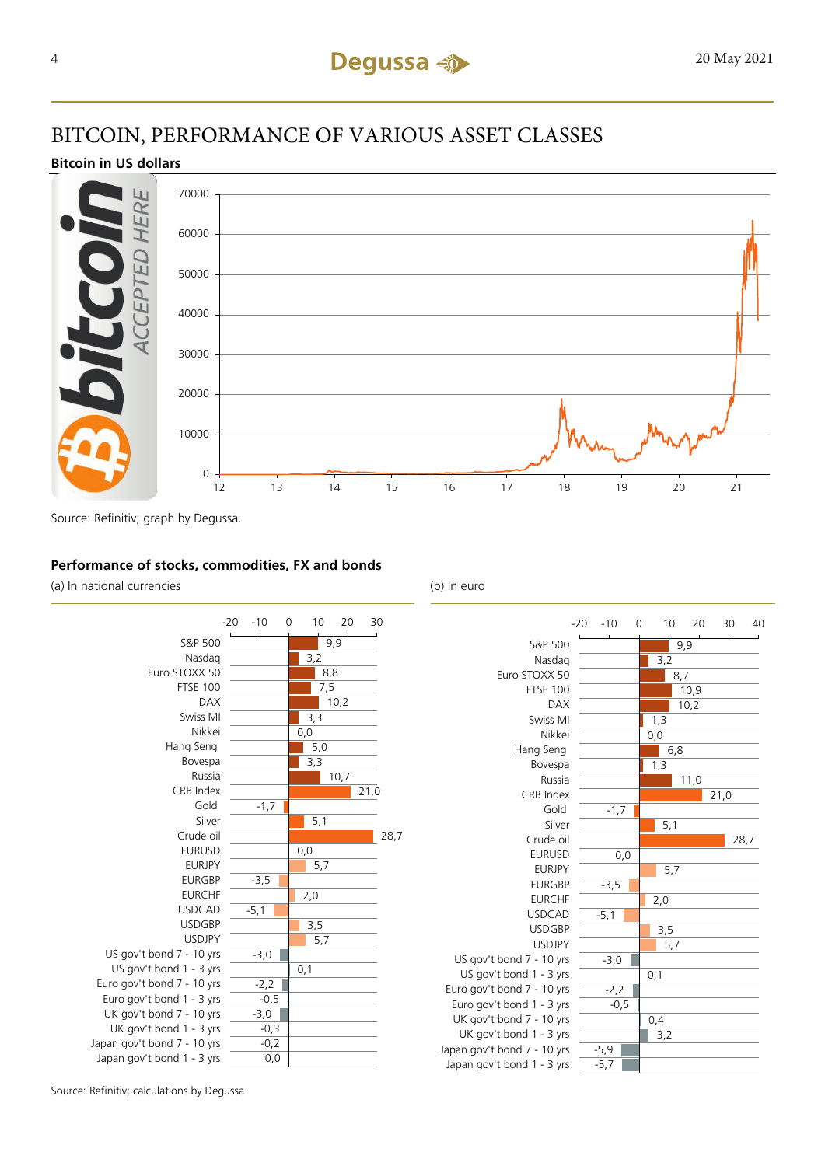### BITCOIN, PERFORMANCE OF VARIOUS ASSET CLASSES

### **Bitcoin in US dollars**



Source: Refinitiv; graph by Degussa.

### **Performance of stocks, commodities, FX and bonds**

(a) In national currencies (b) In euro





| $-20 - 10$ |        | 0 |                  |                   | 10 20 |      | 30<br>40 |
|------------|--------|---|------------------|-------------------|-------|------|----------|
|            |        |   |                  |                   | 9,9   |      |          |
|            |        |   | 3,2              |                   |       |      |          |
|            |        |   |                  | 8,7               |       |      |          |
|            |        |   |                  |                   | 10,9  |      |          |
|            |        |   |                  |                   | 10,2  |      |          |
|            |        |   | 1,3              |                   |       |      |          |
|            |        |   | $\overline{0,0}$ |                   |       |      |          |
|            |        |   |                  | 6,8               |       |      |          |
|            |        |   | 1,3              |                   |       |      |          |
|            |        |   |                  |                   | 11,0  |      |          |
|            |        |   |                  |                   |       | 21,0 |          |
|            | $-1,7$ |   |                  |                   |       |      |          |
|            |        |   |                  | 5,1               |       |      |          |
|            |        |   |                  |                   |       |      | 28,7     |
|            | 0,0    |   |                  |                   |       |      |          |
|            |        |   |                  | 5,7               |       |      |          |
|            | $-3,5$ |   |                  |                   |       |      |          |
|            |        |   | $\overline{2,0}$ |                   |       |      |          |
|            | $-5,1$ |   |                  |                   |       |      |          |
|            |        |   |                  |                   |       |      |          |
|            |        |   |                  | $\frac{3,5}{5,7}$ |       |      |          |
|            | $-3,0$ |   |                  |                   |       |      |          |
|            |        |   | 0,1              |                   |       |      |          |
|            | $-2,2$ |   |                  |                   |       |      |          |
|            | $-0,5$ |   |                  |                   |       |      |          |
|            |        |   | 0,4              |                   |       |      |          |
|            |        |   | $\overline{3,2}$ |                   |       |      |          |
|            | $-5,9$ |   |                  |                   |       |      |          |
|            | $-5,7$ |   |                  |                   |       |      |          |

Source: Refinitiv; calculations by Degussa.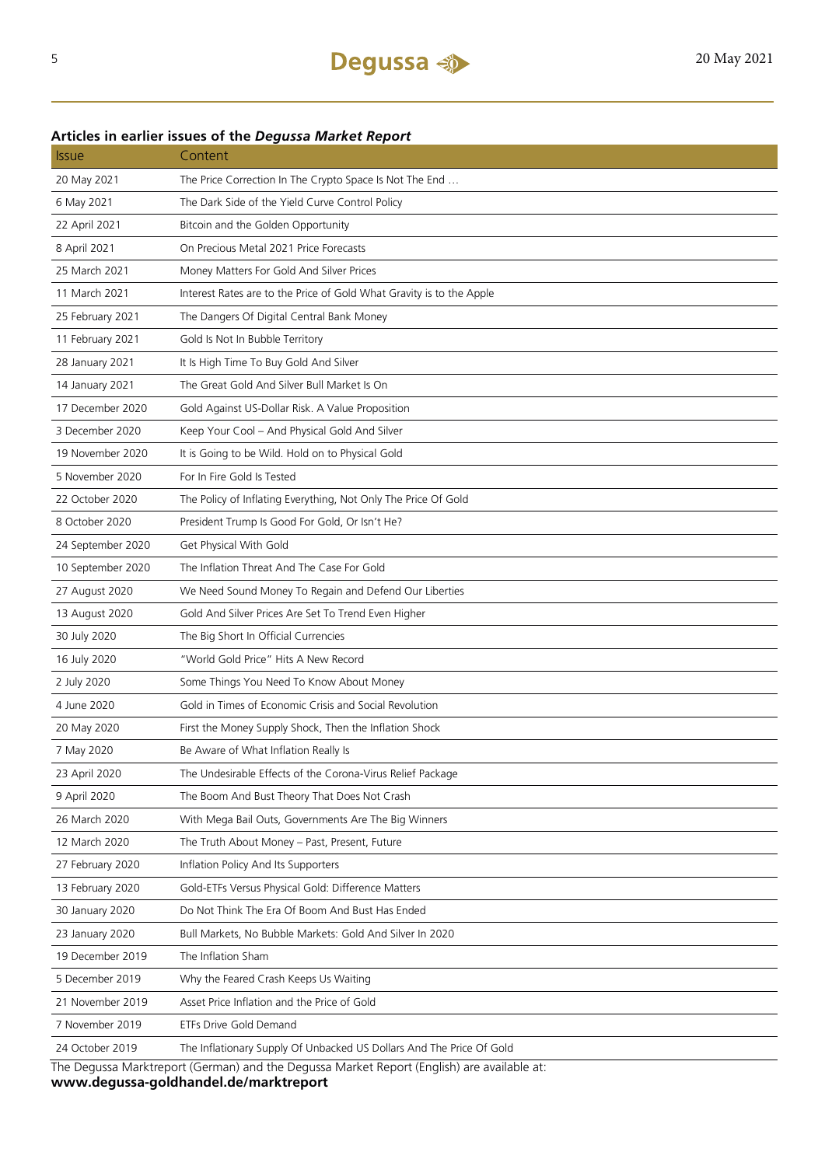### **Articles in earlier issues of the** *Degussa Market Report*

| <u>Issue</u>                                                                               | Content                                                              |  |  |  |
|--------------------------------------------------------------------------------------------|----------------------------------------------------------------------|--|--|--|
| 20 May 2021                                                                                | The Price Correction In The Crypto Space Is Not The End              |  |  |  |
| 6 May 2021                                                                                 | The Dark Side of the Yield Curve Control Policy                      |  |  |  |
| 22 April 2021                                                                              | Bitcoin and the Golden Opportunity                                   |  |  |  |
| 8 April 2021                                                                               | On Precious Metal 2021 Price Forecasts                               |  |  |  |
| 25 March 2021                                                                              | Money Matters For Gold And Silver Prices                             |  |  |  |
| 11 March 2021                                                                              | Interest Rates are to the Price of Gold What Gravity is to the Apple |  |  |  |
| 25 February 2021                                                                           | The Dangers Of Digital Central Bank Money                            |  |  |  |
| 11 February 2021                                                                           | Gold Is Not In Bubble Territory                                      |  |  |  |
| 28 January 2021                                                                            | It Is High Time To Buy Gold And Silver                               |  |  |  |
| 14 January 2021                                                                            | The Great Gold And Silver Bull Market Is On                          |  |  |  |
| 17 December 2020                                                                           | Gold Against US-Dollar Risk. A Value Proposition                     |  |  |  |
| 3 December 2020                                                                            | Keep Your Cool - And Physical Gold And Silver                        |  |  |  |
| 19 November 2020                                                                           | It is Going to be Wild. Hold on to Physical Gold                     |  |  |  |
| 5 November 2020                                                                            | For In Fire Gold Is Tested                                           |  |  |  |
| 22 October 2020                                                                            | The Policy of Inflating Everything, Not Only The Price Of Gold       |  |  |  |
| 8 October 2020                                                                             | President Trump Is Good For Gold, Or Isn't He?                       |  |  |  |
| 24 September 2020                                                                          | Get Physical With Gold                                               |  |  |  |
| 10 September 2020                                                                          | The Inflation Threat And The Case For Gold                           |  |  |  |
| 27 August 2020                                                                             | We Need Sound Money To Regain and Defend Our Liberties               |  |  |  |
| 13 August 2020                                                                             | Gold And Silver Prices Are Set To Trend Even Higher                  |  |  |  |
| 30 July 2020                                                                               | The Big Short In Official Currencies                                 |  |  |  |
| 16 July 2020                                                                               | "World Gold Price" Hits A New Record                                 |  |  |  |
| 2 July 2020                                                                                | Some Things You Need To Know About Money                             |  |  |  |
| 4 June 2020                                                                                | Gold in Times of Economic Crisis and Social Revolution               |  |  |  |
| 20 May 2020                                                                                | First the Money Supply Shock, Then the Inflation Shock               |  |  |  |
| 7 May 2020                                                                                 | Be Aware of What Inflation Really Is                                 |  |  |  |
| 23 April 2020                                                                              | The Undesirable Effects of the Corona-Virus Relief Package           |  |  |  |
| 9 April 2020                                                                               | The Boom And Bust Theory That Does Not Crash                         |  |  |  |
| 26 March 2020                                                                              | With Mega Bail Outs, Governments Are The Big Winners                 |  |  |  |
| 12 March 2020                                                                              | The Truth About Money - Past, Present, Future                        |  |  |  |
| 27 February 2020                                                                           | Inflation Policy And Its Supporters                                  |  |  |  |
| 13 February 2020                                                                           | Gold-ETFs Versus Physical Gold: Difference Matters                   |  |  |  |
| 30 January 2020                                                                            | Do Not Think The Era Of Boom And Bust Has Ended                      |  |  |  |
| 23 January 2020                                                                            | Bull Markets, No Bubble Markets: Gold And Silver In 2020             |  |  |  |
| 19 December 2019                                                                           | The Inflation Sham                                                   |  |  |  |
| 5 December 2019                                                                            | Why the Feared Crash Keeps Us Waiting                                |  |  |  |
| 21 November 2019                                                                           | Asset Price Inflation and the Price of Gold                          |  |  |  |
| 7 November 2019                                                                            | ETFs Drive Gold Demand                                               |  |  |  |
| 24 October 2019                                                                            | The Inflationary Supply Of Unbacked US Dollars And The Price Of Gold |  |  |  |
| The Degussa Marktreport (German) and the Degussa Market Report (English) are available at: |                                                                      |  |  |  |

The Degussa Marktreport (German) and the Degussa Market Report (English) are available at: **www.degussa-goldhandel.de/marktreport**